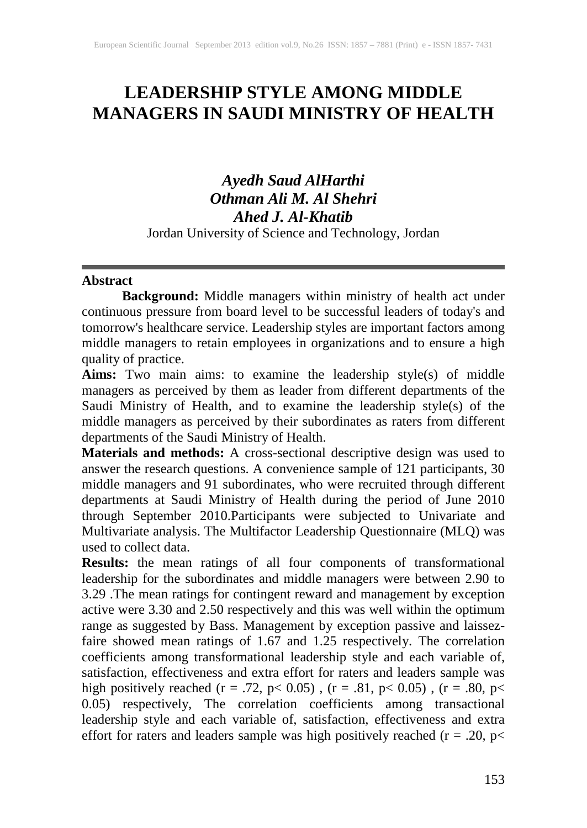# **LEADERSHIP STYLE AMONG MIDDLE MANAGERS IN SAUDI MINISTRY OF HEALTH**

# *Ayedh Saud AlHarthi Othman Ali M. Al Shehri Ahed J. Al-Khatib* Jordan University of Science and Technology, Jordan

#### **Abstract**

**Background:** Middle managers within ministry of health act under continuous pressure from board level to be successful leaders of today's and tomorrow's healthcare service. Leadership styles are important factors among middle managers to retain employees in organizations and to ensure a high quality of practice.

**Aims:** Two main aims: to examine the leadership style(s) of middle managers as perceived by them as leader from different departments of the Saudi Ministry of Health, and to examine the leadership style(s) of the middle managers as perceived by their subordinates as raters from different departments of the Saudi Ministry of Health.

**Materials and methods:** A cross-sectional descriptive design was used to answer the research questions. A convenience sample of 121 participants, 30 middle managers and 91 subordinates, who were recruited through different departments at Saudi Ministry of Health during the period of June 2010 through September 2010.Participants were subjected to Univariate and Multivariate analysis. The Multifactor Leadership Questionnaire (MLQ) was used to collect data.

**Results:** the mean ratings of all four components of transformational leadership for the subordinates and middle managers were between 2.90 to 3.29 .The mean ratings for contingent reward and management by exception active were 3.30 and 2.50 respectively and this was well within the optimum range as suggested by Bass. Management by exception passive and laissezfaire showed mean ratings of 1.67 and 1.25 respectively. The correlation coefficients among transformational leadership style and each variable of, satisfaction, effectiveness and extra effort for raters and leaders sample was high positively reached (r = .72, p< 0.05), (r = .81, p< 0.05), (r = .80, p< 0.05) respectively, The correlation coefficients among transactional leadership style and each variable of, satisfaction, effectiveness and extra effort for raters and leaders sample was high positively reached  $(r = .20, p<$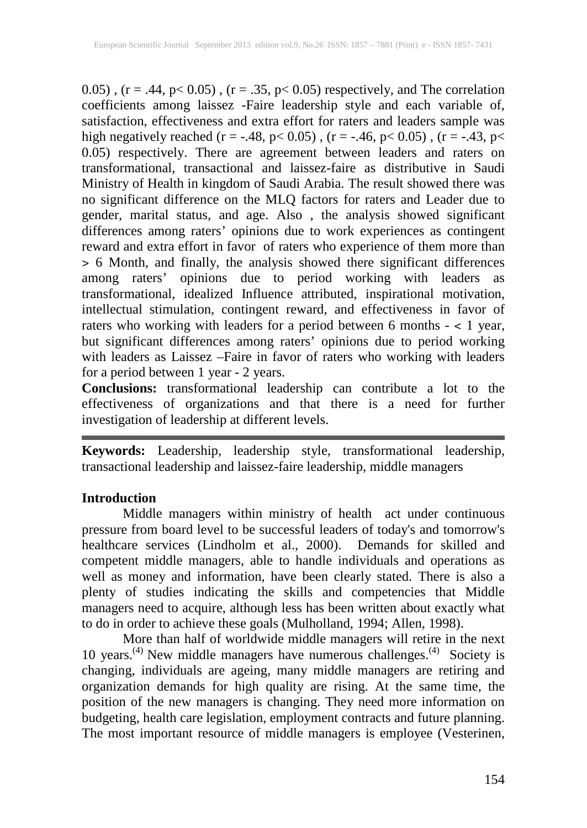0.05),  $(r = .44, p < 0.05)$ ,  $(r = .35, p < 0.05)$  respectively, and The correlation coefficients among laissez -Faire leadership style and each variable of, satisfaction, effectiveness and extra effort for raters and leaders sample was high negatively reached (r = -.48, p < 0.05), (r = -.46, p < 0.05), (r = -.43, p < 0.05) respectively. There are agreement between leaders and raters on transformational, transactional and laissez-faire as distributive in Saudi Ministry of Health in kingdom of Saudi Arabia. The result showed there was no significant difference on the MLQ factors for raters and Leader due to gender, marital status, and age. Also , the analysis showed significant differences among raters' opinions due to work experiences as contingent reward and extra effort in favor of raters who experience of them more than ˃ 6 Month, and finally, the analysis showed there significant differences among raters' opinions due to period working with leaders as transformational, idealized Influence attributed, inspirational motivation, intellectual stimulation, contingent reward, and effectiveness in favor of raters who working with leaders for a period between 6 months - ˂ 1 year, but significant differences among raters' opinions due to period working with leaders as Laissez –Faire in favor of raters who working with leaders for a period between 1 year - 2 years.

**Conclusions:** transformational leadership can contribute a lot to the effectiveness of organizations and that there is a need for further investigation of leadership at different levels.

**Keywords:** Leadership, leadership style, transformational leadership, transactional leadership and laissez-faire leadership, middle managers

### **Introduction**

Middle managers within ministry of health act under continuous pressure from board level to be successful leaders of today's and tomorrow's healthcare services (Lindholm et al., 2000). Demands for skilled and competent middle managers, able to handle individuals and operations as well as money and information, have been clearly stated. There is also a plenty of studies indicating the skills and competencies that Middle managers need to acquire, although less has been written about exactly what to do in order to achieve these goals (Mulholland, 1994; Allen, 1998).

More than half of worldwide middle managers will retire in the next 10 years.<sup>(4)</sup> New middle managers have numerous challenges.<sup>(4)</sup> Society is changing, individuals are ageing, many middle managers are retiring and organization demands for high quality are rising. At the same time, the position of the new managers is changing. They need more information on budgeting, health care legislation, employment contracts and future planning. The most important resource of middle managers is employee (Vesterinen,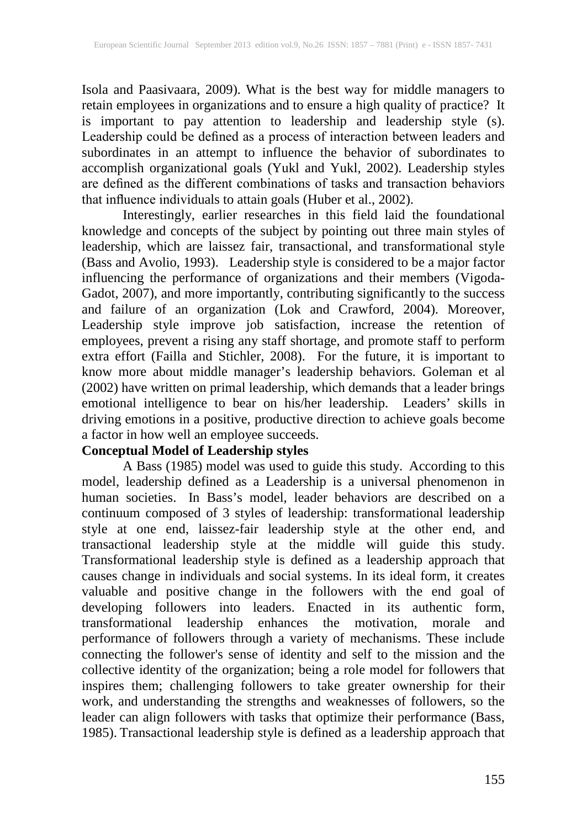Isola and Paasivaara, 2009). What is the best way for middle managers to retain employees in organizations and to ensure a high quality of practice? It is important to pay attention to leadership and leadership style (s). Leadership could be defined as a process of interaction between leaders and subordinates in an attempt to influence the behavior of subordinates to accomplish organizational goals (Yukl and Yukl, 2002). Leadership styles are defined as the different combinations of tasks and transaction behaviors that influence individuals to attain goals (Huber et al., 2002).

Interestingly, earlier researches in this field laid the foundational knowledge and concepts of the subject by pointing out three main styles of leadership, which are laissez fair, transactional, and transformational style (Bass and Avolio, 1993). Leadership style is considered to be a major factor influencing the performance of organizations and their members (Vigoda-Gadot, 2007), and more importantly, contributing significantly to the success and failure of an organization (Lok and Crawford, 2004). Moreover, Leadership style improve job satisfaction, increase the retention of employees, prevent a rising any staff shortage, and promote staff to perform extra effort (Failla and Stichler, 2008). For the future, it is important to know more about middle manager's leadership behaviors. Goleman et al (2002) have written on primal leadership, which demands that a leader brings emotional intelligence to bear on his/her leadership. Leaders' skills in driving emotions in a positive, productive direction to achieve goals become a factor in how well an employee succeeds.

#### **Conceptual Model of Leadership styles**

A Bass (1985) model was used to guide this study. According to this model, leadership defined as a Leadership is a universal phenomenon in human societies. In Bass's model, leader behaviors are described on a continuum composed of 3 styles of leadership: transformational leadership style at one end, laissez-fair leadership style at the other end, and transactional leadership style at the middle will guide this study. Transformational leadership style is defined as a leadership approach that causes change in individuals and social systems. In its ideal form, it creates valuable and positive change in the followers with the end goal of developing followers into leaders. Enacted in its authentic form, transformational leadership enhances the motivation, morale and performance of followers through a variety of mechanisms. These include connecting the follower's sense of identity and self to the mission and the collective identity of the organization; being a role model for followers that inspires them; challenging followers to take greater ownership for their work, and understanding the strengths and weaknesses of followers, so the leader can align followers with tasks that optimize their performance (Bass, 1985). Transactional leadership style is defined as a leadership approach that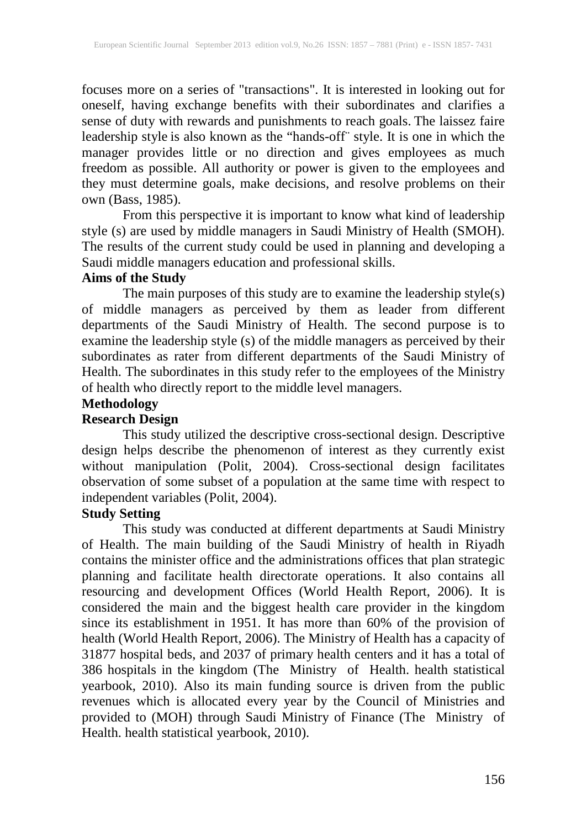focuses more on a series of "transactions". It is interested in looking out for oneself, having exchange benefits with their subordinates and clarifies a sense of duty with rewards and punishments to reach goals. The laissez faire leadership style is also known as the "hands-off¨ style. It is one in which the manager provides little or no direction and gives employees as much freedom as possible. All authority or power is given to the employees and they must determine goals, make decisions, and resolve problems on their own (Bass, 1985).

From this perspective it is important to know what kind of leadership style (s) are used by middle managers in Saudi Ministry of Health (SMOH). The results of the current study could be used in planning and developing a Saudi middle managers education and professional skills.

### **Aims of the Study**

The main purposes of this study are to examine the leadership style(s) of middle managers as perceived by them as leader from different departments of the Saudi Ministry of Health. The second purpose is to examine the leadership style (s) of the middle managers as perceived by their subordinates as rater from different departments of the Saudi Ministry of Health. The subordinates in this study refer to the employees of the Ministry of health who directly report to the middle level managers.

## **Methodology**

### **Research Design**

This study utilized the descriptive cross-sectional design. Descriptive design helps describe the phenomenon of interest as they currently exist without manipulation (Polit, 2004). Cross-sectional design facilitates observation of some subset of a population at the same time with respect to independent variables (Polit, 2004).

# **Study Setting**

This study was conducted at different departments at Saudi Ministry of Health. The main building of the Saudi Ministry of health in Riyadh contains the minister office and the administrations offices that plan strategic planning and facilitate health directorate operations. It also contains all resourcing and development Offices (World Health Report, 2006). It is considered the main and the biggest health care provider in the kingdom since its establishment in 1951. It has more than 60% of the provision of health (World Health Report, 2006). The Ministry of Health has a capacity of 31877 hospital beds, and 2037 of primary health centers and it has a total of 386 hospitals in the kingdom (The Ministry of Health. health statistical yearbook, 2010). Also its main funding source is driven from the public revenues which is allocated every year by the Council of Ministries and provided to (MOH) through Saudi Ministry of Finance (The Ministry of Health. health statistical yearbook, 2010).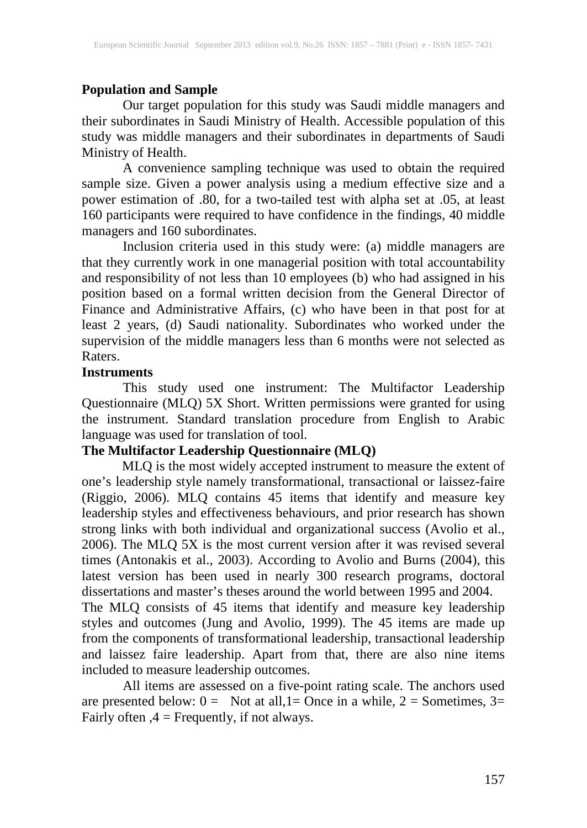### **Population and Sample**

Our target population for this study was Saudi middle managers and their subordinates in Saudi Ministry of Health. Accessible population of this study was middle managers and their subordinates in departments of Saudi Ministry of Health.

A convenience sampling technique was used to obtain the required sample size. Given a power analysis using a medium effective size and a power estimation of .80, for a two-tailed test with alpha set at .05, at least 160 participants were required to have confidence in the findings, 40 middle managers and 160 subordinates.

Inclusion criteria used in this study were: (a) middle managers are that they currently work in one managerial position with total accountability and responsibility of not less than 10 employees (b) who had assigned in his position based on a formal written decision from the General Director of Finance and Administrative Affairs, (c) who have been in that post for at least 2 years, (d) Saudi nationality. Subordinates who worked under the supervision of the middle managers less than 6 months were not selected as Raters.

#### **Instruments**

This study used one instrument: The Multifactor Leadership Questionnaire (MLQ) 5X Short. Written permissions were granted for using the instrument. Standard translation procedure from English to Arabic language was used for translation of tool.

### **The Multifactor Leadership Questionnaire (MLQ)**

MLQ is the most widely accepted instrument to measure the extent of one's leadership style namely transformational, transactional or laissez-faire (Riggio, 2006). MLQ contains 45 items that identify and measure key leadership styles and effectiveness behaviours, and prior research has shown strong links with both individual and organizational success (Avolio et al., 2006). The MLQ 5X is the most current version after it was revised several times (Antonakis et al., 2003). According to Avolio and Burns (2004), this latest version has been used in nearly 300 research programs, doctoral dissertations and master's theses around the world between 1995 and 2004.

The MLQ consists of 45 items that identify and measure key leadership styles and outcomes (Jung and Avolio, 1999). The 45 items are made up from the components of transformational leadership, transactional leadership and laissez faire leadership. Apart from that, there are also nine items included to measure leadership outcomes.

All items are assessed on a five-point rating scale. The anchors used are presented below:  $0 =$  Not at all,  $1 =$ Once in a while,  $2 =$  Sometimes,  $3 =$ Fairly often ,4 = Frequently, if not always.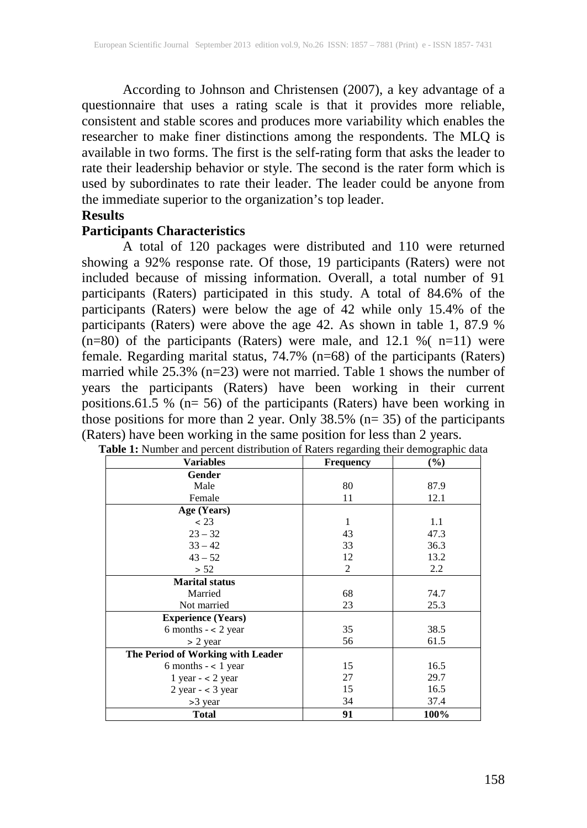According to Johnson and Christensen (2007), a key advantage of a questionnaire that uses a rating scale is that it provides more reliable, consistent and stable scores and produces more variability which enables the researcher to make finer distinctions among the respondents. The MLQ is available in two forms. The first is the self-rating form that asks the leader to rate their leadership behavior or style. The second is the rater form which is used by subordinates to rate their leader. The leader could be anyone from the immediate superior to the organization's top leader.

#### **Results**

#### **Participants Characteristics**

A total of 120 packages were distributed and 110 were returned showing a 92% response rate. Of those, 19 participants (Raters) were not included because of missing information. Overall, a total number of 91 participants (Raters) participated in this study. A total of 84.6% of the participants (Raters) were below the age of 42 while only 15.4% of the participants (Raters) were above the age 42. As shown in table 1, 87.9 %  $(n=80)$  of the participants (Raters) were male, and 12.1 % ( $n=11$ ) were female. Regarding marital status, 74.7% (n=68) of the participants (Raters) married while  $25.3\%$  (n=23) were not married. Table 1 shows the number of years the participants (Raters) have been working in their current positions.61.5 % (n= 56) of the participants (Raters) have been working in those positions for more than 2 year. Only  $38.5\%$  (n= 35) of the participants (Raters) have been working in the same position for less than 2 years.

| <b>Variables</b>                  | <b>Frequency</b> | (%)  |  |  |
|-----------------------------------|------------------|------|--|--|
| Gender                            |                  |      |  |  |
| Male                              | 80               | 87.9 |  |  |
| Female                            | 11               | 12.1 |  |  |
| Age (Years)                       |                  |      |  |  |
| < 23                              | 1                | 1.1  |  |  |
| $23 - 32$                         | 43               | 47.3 |  |  |
| $33 - 42$                         | 33               | 36.3 |  |  |
| $43 - 52$                         | 12               | 13.2 |  |  |
| > 52                              | 2                | 2.2  |  |  |
| <b>Marital status</b>             |                  |      |  |  |
| Married                           | 68               | 74.7 |  |  |
| Not married                       | 23               | 25.3 |  |  |
| <b>Experience (Years)</b>         |                  |      |  |  |
| 6 months $- < 2$ year             | 35               | 38.5 |  |  |
| $> 2$ year                        | 56               | 61.5 |  |  |
| The Period of Working with Leader |                  |      |  |  |
| 6 months $-$ < 1 year             | 15               | 16.5 |  |  |
| 1 year $-$ < 2 year               | 27               | 29.7 |  |  |
| $2$ year $-$ < 3 year             | 15               | 16.5 |  |  |
| $>3$ year                         | 34               | 37.4 |  |  |
| <b>Total</b>                      | 91               | 100% |  |  |

| Table 1: Number and percent distribution of Raters regarding their demographic data |  |  |
|-------------------------------------------------------------------------------------|--|--|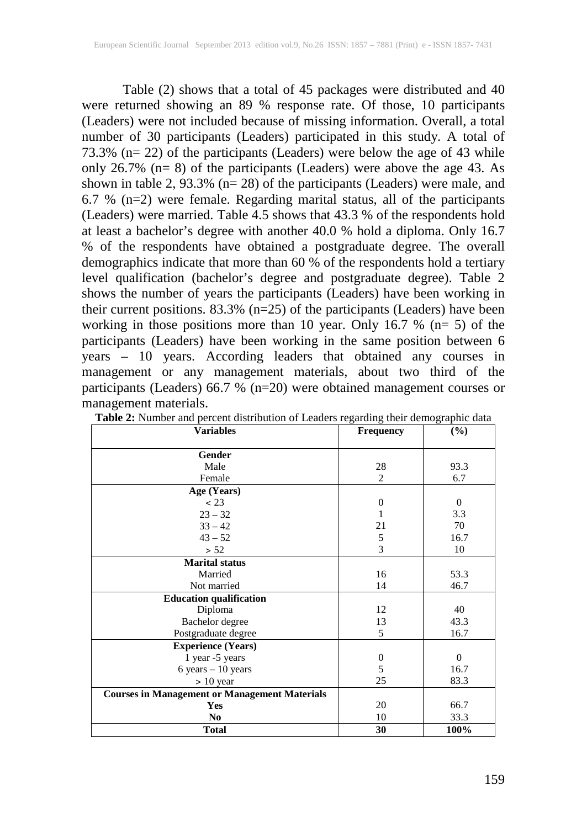Table (2) shows that a total of 45 packages were distributed and 40 were returned showing an 89 % response rate. Of those, 10 participants (Leaders) were not included because of missing information. Overall, a total number of 30 participants (Leaders) participated in this study. A total of 73.3% (n= 22) of the participants (Leaders) were below the age of 43 while only 26.7% (n= 8) of the participants (Leaders) were above the age 43. As shown in table 2, 93.3% (n= 28) of the participants (Leaders) were male, and 6.7 % (n=2) were female. Regarding marital status, all of the participants (Leaders) were married. Table 4.5 shows that 43.3 % of the respondents hold at least a bachelor's degree with another 40.0 % hold a diploma. Only 16.7 % of the respondents have obtained a postgraduate degree. The overall demographics indicate that more than 60 % of the respondents hold a tertiary level qualification (bachelor's degree and postgraduate degree). Table 2 shows the number of years the participants (Leaders) have been working in their current positions. 83.3% (n=25) of the participants (Leaders) have been working in those positions more than 10 year. Only 16.7 % (n= 5) of the participants (Leaders) have been working in the same position between 6 years – 10 years. According leaders that obtained any courses in management or any management materials, about two third of the participants (Leaders) 66.7 % (n=20) were obtained management courses or management materials.

| <b>Variables</b>                                     | Frequency        | $\left(\frac{0}{0}\right)$ |
|------------------------------------------------------|------------------|----------------------------|
| Gender                                               |                  |                            |
| Male                                                 |                  |                            |
|                                                      | 28               | 93.3                       |
| Female                                               | $\overline{c}$   | 6.7                        |
| Age (Years)                                          |                  |                            |
| < 23                                                 | $\mathbf{0}$     | $\Omega$                   |
| $23 - 32$                                            | 1                | 3.3                        |
| $33 - 42$                                            | 21               | 70                         |
| $43 - 52$                                            | 5                | 16.7                       |
| > 52                                                 | 3                | 10                         |
| <b>Marital status</b>                                |                  |                            |
| Married                                              | 16               | 53.3                       |
| Not married                                          | 14               | 46.7                       |
| <b>Education qualification</b>                       |                  |                            |
| Diploma                                              | 12               | 40                         |
| Bachelor degree                                      | 13               | 43.3                       |
| Postgraduate degree                                  | 5                | 16.7                       |
| <b>Experience (Years)</b>                            |                  |                            |
| 1 year -5 years                                      | $\boldsymbol{0}$ | $\Omega$                   |
| $6 \text{ years} - 10 \text{ years}$                 | 5                | 16.7                       |
| $> 10$ year                                          | 25               | 83.3                       |
| <b>Courses in Management or Management Materials</b> |                  |                            |
| Yes                                                  | 20               | 66.7                       |
| No                                                   | 10               | 33.3                       |
| <b>Total</b>                                         | 30               | 100%                       |

**Table 2:** Number and percent distribution of Leaders regarding their demographic data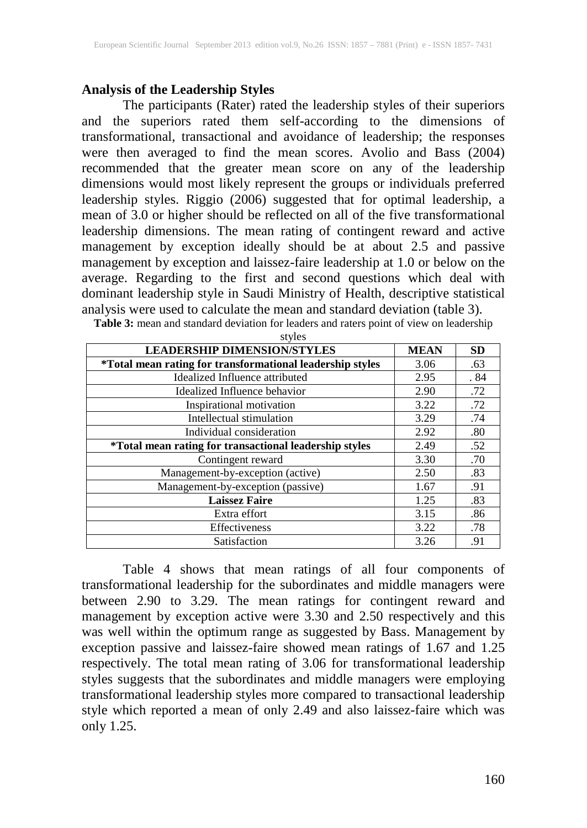## **Analysis of the Leadership Styles**

The participants (Rater) rated the leadership styles of their superiors and the superiors rated them self-according to the dimensions of transformational, transactional and avoidance of leadership; the responses were then averaged to find the mean scores. Avolio and Bass (2004) recommended that the greater mean score on any of the leadership dimensions would most likely represent the groups or individuals preferred leadership styles. Riggio (2006) suggested that for optimal leadership, a mean of 3.0 or higher should be reflected on all of the five transformational leadership dimensions. The mean rating of contingent reward and active management by exception ideally should be at about 2.5 and passive management by exception and laissez-faire leadership at 1.0 or below on the average. Regarding to the first and second questions which deal with dominant leadership style in Saudi Ministry of Health, descriptive statistical analysis were used to calculate the mean and standard deviation (table 3).

| <b>LEADERSHIP DIMENSION/STYLES</b>                            | <b>MEAN</b> | <b>SD</b> |
|---------------------------------------------------------------|-------------|-----------|
| *Total mean rating for transformational leadership styles     | 3.06        | .63       |
| Idealized Influence attributed                                | 2.95        | . 84      |
| Idealized Influence behavior                                  | 2.90        | .72       |
| Inspirational motivation                                      | 3.22        | .72       |
| Intellectual stimulation                                      | 3.29        | .74       |
| Individual consideration                                      | 2.92        | .80       |
| <i>*Total mean rating for transactional leadership styles</i> | 2.49        | .52       |
| Contingent reward                                             | 3.30        | .70       |
| Management-by-exception (active)                              | 2.50        | .83       |
| Management-by-exception (passive)                             | 1.67        | .91       |
| <b>Laissez Faire</b>                                          | 1.25        | .83       |
| Extra effort                                                  | 3.15        | .86       |
| <b>Effectiveness</b>                                          | 3.22        | .78       |
| Satisfaction                                                  | 3.26        | .91       |

**Table 3:** mean and standard deviation for leaders and raters point of view on leadership

Table 4 shows that mean ratings of all four components of transformational leadership for the subordinates and middle managers were between 2.90 to 3.29. The mean ratings for contingent reward and management by exception active were 3.30 and 2.50 respectively and this was well within the optimum range as suggested by Bass. Management by exception passive and laissez-faire showed mean ratings of 1.67 and 1.25 respectively. The total mean rating of 3.06 for transformational leadership styles suggests that the subordinates and middle managers were employing transformational leadership styles more compared to transactional leadership style which reported a mean of only 2.49 and also laissez-faire which was only 1.25.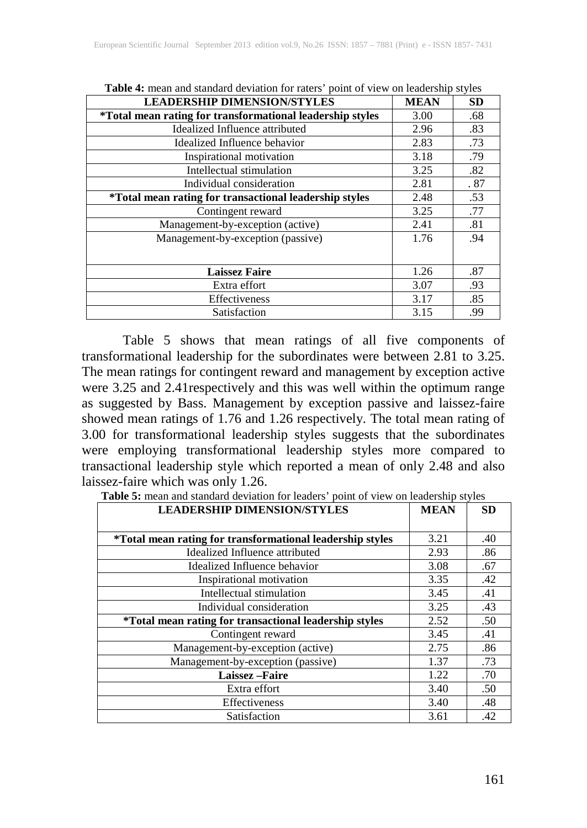| <b>LEADERSHIP DIMENSION/STYLES</b>                        | <b>MEAN</b> | <b>SD</b> |
|-----------------------------------------------------------|-------------|-----------|
| *Total mean rating for transformational leadership styles | 3.00        | .68       |
| Idealized Influence attributed                            | 2.96        | .83       |
| Idealized Influence behavior                              | 2.83        | .73       |
| Inspirational motivation                                  | 3.18        | .79       |
| Intellectual stimulation                                  | 3.25        | .82       |
| Individual consideration                                  | 2.81        | .87       |
| *Total mean rating for transactional leadership styles    | 2.48        | .53       |
| Contingent reward                                         | 3.25        | .77       |
| Management-by-exception (active)                          | 2.41        | .81       |
| Management-by-exception (passive)                         | 1.76        | .94       |
|                                                           |             |           |
| <b>Laissez Faire</b>                                      | 1.26        | .87       |
| Extra effort                                              | 3.07        | .93       |
| Effectiveness                                             | 3.17        | .85       |
| Satisfaction                                              | 3.15        | .99       |

**Table 4:** mean and standard deviation for raters' point of view on leadership styles

Table 5 shows that mean ratings of all five components of transformational leadership for the subordinates were between 2.81 to 3.25. The mean ratings for contingent reward and management by exception active were 3.25 and 2.41respectively and this was well within the optimum range as suggested by Bass. Management by exception passive and laissez-faire showed mean ratings of 1.76 and 1.26 respectively. The total mean rating of 3.00 for transformational leadership styles suggests that the subordinates were employing transformational leadership styles more compared to transactional leadership style which reported a mean of only 2.48 and also laissez-faire which was only 1.26.

**Table 5:** mean and standard deviation for leaders' point of view on leadership styles

| <b>LEADERSHIP DIMENSION/STYLES</b>                        | <b>MEAN</b> | <b>SD</b> |
|-----------------------------------------------------------|-------------|-----------|
|                                                           |             |           |
| *Total mean rating for transformational leadership styles | 3.21        | .40       |
| Idealized Influence attributed                            | 2.93        | .86       |
| Idealized Influence behavior                              | 3.08        | .67       |
| Inspirational motivation                                  | 3.35        | .42       |
| Intellectual stimulation                                  | 3.45        | .41       |
| Individual consideration                                  | 3.25        | .43       |
| *Total mean rating for transactional leadership styles    | 2.52        | .50       |
| Contingent reward                                         | 3.45        | .41       |
| Management-by-exception (active)                          | 2.75        | .86       |
| Management-by-exception (passive)                         | 1.37        | .73       |
| <b>Laissez-Faire</b>                                      | 1.22        | .70       |
| Extra effort                                              | 3.40        | .50       |
| Effectiveness                                             | 3.40        | .48       |
| Satisfaction                                              | 3.61        | .42       |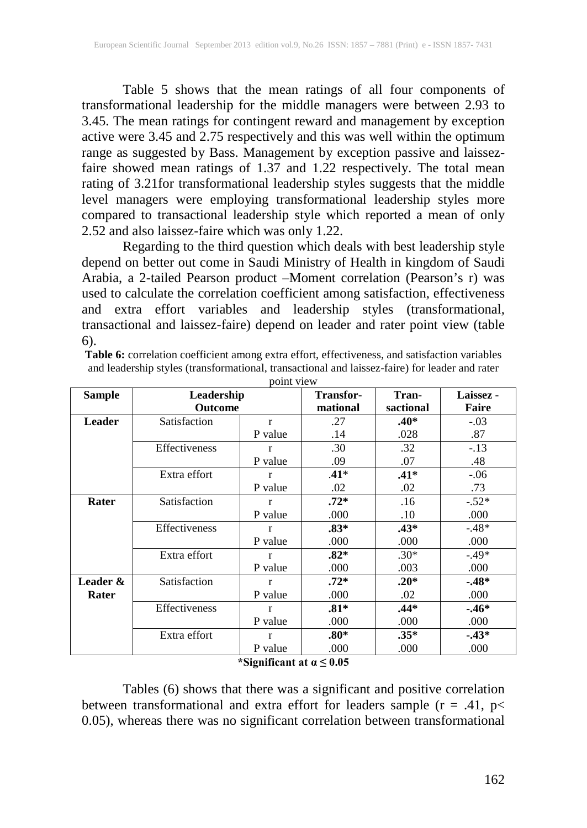Table 5 shows that the mean ratings of all four components of transformational leadership for the middle managers were between 2.93 to 3.45. The mean ratings for contingent reward and management by exception active were 3.45 and 2.75 respectively and this was well within the optimum range as suggested by Bass. Management by exception passive and laissezfaire showed mean ratings of 1.37 and 1.22 respectively. The total mean rating of 3.21for transformational leadership styles suggests that the middle level managers were employing transformational leadership styles more compared to transactional leadership style which reported a mean of only 2.52 and also laissez-faire which was only 1.22.

Regarding to the third question which deals with best leadership style depend on better out come in Saudi Ministry of Health in kingdom of Saudi Arabia, a 2-tailed Pearson product –Moment correlation (Pearson's r) was used to calculate the correlation coefficient among satisfaction, effectiveness and extra effort variables and leadership styles (transformational, transactional and laissez-faire) depend on leader and rater point view (table 6).

| Table 6: correlation coefficient among extra effort, effectiveness, and satisfaction variables |  |
|------------------------------------------------------------------------------------------------|--|
| and leadership styles (transformational, transactional and laissez-faire) for leader and rater |  |

| <b>Sample</b> | Leadership           | <b>Transfor-</b> | Tran-  | Laissez - |         |
|---------------|----------------------|------------------|--------|-----------|---------|
|               |                      | <b>Outcome</b>   |        | sactional | Faire   |
| <b>Leader</b> | Satisfaction         | $\mathbf{r}$     | .27    | $.40*$    | $-.03$  |
|               |                      | P value          | .14    | .028      | .87     |
|               | <b>Effectiveness</b> | r                | .30    | .32       | $-.13$  |
|               |                      | P value          | .09    | .07       | .48     |
|               | Extra effort         | r                | $.41*$ | $.41*$    | $-.06$  |
|               |                      | P value          | .02    | .02       | .73     |
| Rater         | Satisfaction         | r                | $.72*$ | .16       | $-.52*$ |
|               |                      | P value          | .000   | .10       | .000    |
|               | <b>Effectiveness</b> | $\mathbf{r}$     | $.83*$ | $.43*$    | $-.48*$ |
|               |                      | P value          | .000   | .000      | .000    |
|               | Extra effort         | r                | $.82*$ | $.30*$    | $-.49*$ |
|               |                      | P value          | .000   | .003      | .000    |
| Leader &      | Satisfaction         | r                | $.72*$ | $.20*$    | $-48*$  |
| Rater         |                      | P value          | .000   | .02       | .000    |
|               | <b>Effectiveness</b> | r                | $.81*$ | $.44*$    | $-46*$  |
|               |                      | P value          | .000   | .000      | .000    |
|               | Extra effort         | $\mathbf{r}$     | $.80*$ | $.35*$    | $-43*$  |
|               |                      | P value          | .000   | .000      | .000    |

point view

#### **\*Significant at**  $\alpha \leq 0.05$

Tables (6) shows that there was a significant and positive correlation between transformational and extra effort for leaders sample ( $r = .41$ ,  $p <$ 0.05), whereas there was no significant correlation between transformational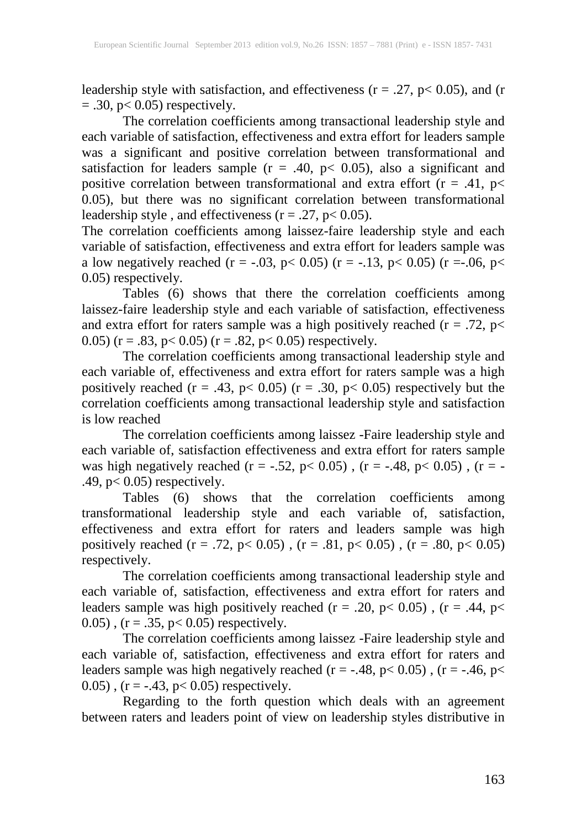leadership style with satisfaction, and effectiveness ( $r = .27$ ,  $p < 0.05$ ), and (r  $=$  .30, p $<$  0.05) respectively.

The correlation coefficients among transactional leadership style and each variable of satisfaction, effectiveness and extra effort for leaders sample was a significant and positive correlation between transformational and satisfaction for leaders sample ( $r = .40$ ,  $p < 0.05$ ), also a significant and positive correlation between transformational and extra effort  $(r = .41, p<$ 0.05), but there was no significant correlation between transformational leadership style, and effectiveness ( $r = .27$ ,  $p < 0.05$ ).

The correlation coefficients among laissez-faire leadership style and each variable of satisfaction, effectiveness and extra effort for leaders sample was a low negatively reached (r = -.03, p < 0.05) (r = -.13, p < 0.05) (r = -.06, p < 0.05) respectively.

Tables (6) shows that there the correlation coefficients among laissez-faire leadership style and each variable of satisfaction, effectiveness and extra effort for raters sample was a high positively reached ( $r = .72$ ,  $p <$ 0.05) (r = .83, p < 0.05) (r = .82, p < 0.05) respectively.

The correlation coefficients among transactional leadership style and each variable of, effectiveness and extra effort for raters sample was a high positively reached  $(r = .43, p < 0.05)$   $(r = .30, p < 0.05)$  respectively but the correlation coefficients among transactional leadership style and satisfaction is low reached

The correlation coefficients among laissez -Faire leadership style and each variable of, satisfaction effectiveness and extra effort for raters sample was high negatively reached (r = -.52, p< 0.05), (r = -.48, p< 0.05), (r = -.49,  $p < 0.05$ ) respectively.

Tables (6) shows that the correlation coefficients among transformational leadership style and each variable of, satisfaction, effectiveness and extra effort for raters and leaders sample was high positively reached (r = .72, p< 0.05), (r = .81, p< 0.05), (r = .80, p< 0.05) respectively.

The correlation coefficients among transactional leadership style and each variable of, satisfaction, effectiveness and extra effort for raters and leaders sample was high positively reached ( $r = .20$ ,  $p < 0.05$ ), ( $r = .44$ ,  $p <$  $(0.05)$ ,  $(r = .35, p < 0.05)$  respectively.

The correlation coefficients among laissez -Faire leadership style and each variable of, satisfaction, effectiveness and extra effort for raters and leaders sample was high negatively reached ( $r = -.48$ ,  $p < 0.05$ ), ( $r = -.46$ ,  $p <$  $(0.05)$ ,  $(r = -.43, p < 0.05)$  respectively.

Regarding to the forth question which deals with an agreement between raters and leaders point of view on leadership styles distributive in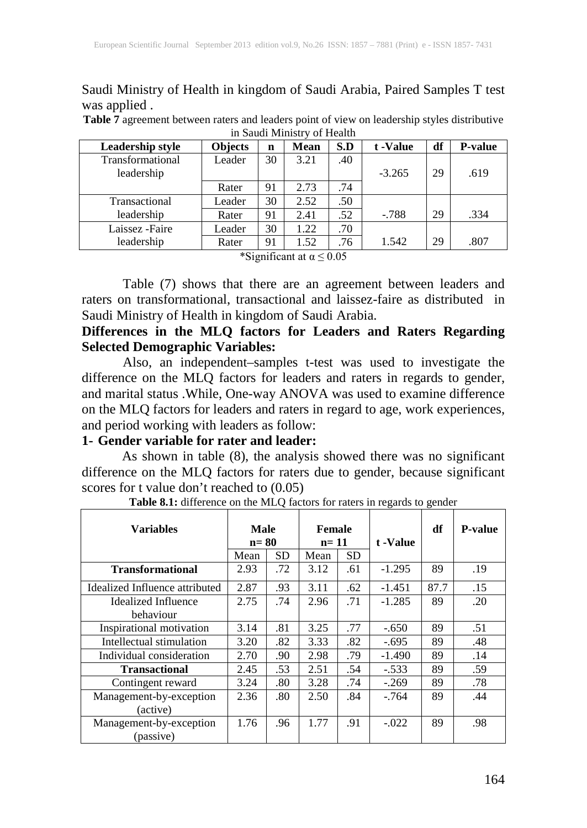Saudi Ministry of Health in kingdom of Saudi Arabia, Paired Samples T test was applied .

**Table 7** agreement between raters and leaders point of view on leadership styles distributive in Saudi Ministry of Health

| Leadership style | <b>Objects</b> | n  | <b>Mean</b>           | S.D | t -Value | df | <b>P-value</b> |
|------------------|----------------|----|-----------------------|-----|----------|----|----------------|
| Transformational | Leader         | 30 | 3.21                  | .40 |          |    |                |
| leadership       |                |    |                       |     | $-3.265$ | 29 | .619           |
|                  | Rater          | 91 | 2.73                  | .74 |          |    |                |
| Transactional    | Leader         | 30 | 2.52                  | .50 |          |    |                |
| leadership       | Rater          | 91 | 2.41                  | .52 | $-.788$  | 29 | .334           |
| Laissez - Faire  | Leader         | 30 | 1.22                  | .70 |          |    |                |
| leadership       | Rater          | 91 | 1.52                  | .76 | 1.542    | 29 | .807           |
|                  |                |    | $*0:10:10:11:12:2000$ |     |          |    |                |

\*Significant at  $\alpha \leq 0.05$ 

Table (7) shows that there are an agreement between leaders and raters on transformational, transactional and laissez-faire as distributed in Saudi Ministry of Health in kingdom of Saudi Arabia.

**Differences in the MLQ factors for Leaders and Raters Regarding Selected Demographic Variables:**

Also, an independent–samples t-test was used to investigate the difference on the MLQ factors for leaders and raters in regards to gender, and marital status .While, One-way ANOVA was used to examine difference on the MLQ factors for leaders and raters in regard to age, work experiences, and period working with leaders as follow:

#### **1- Gender variable for rater and leader:**

As shown in table (8), the analysis showed there was no significant difference on the MLQ factors for raters due to gender, because significant scores for t value don't reached to (0.05)

| <b>Variables</b>                     | Male<br>$n = 80$ |     | <b>Female</b><br>$n = 11$ |     |          |      |     |  | t -Value | df | <b>P-value</b> |
|--------------------------------------|------------------|-----|---------------------------|-----|----------|------|-----|--|----------|----|----------------|
|                                      | Mean             | SD  | Mean                      | SD  |          |      |     |  |          |    |                |
| <b>Transformational</b>              | 2.93             | .72 | 3.12                      | .61 | $-1.295$ | 89   | .19 |  |          |    |                |
| Idealized Influence attributed       | 2.87             | .93 | 3.11                      | .62 | $-1.451$ | 87.7 | .15 |  |          |    |                |
| Idealized Influence                  | 2.75             | .74 | 2.96                      | .71 | $-1.285$ | 89   | .20 |  |          |    |                |
| behaviour                            |                  |     |                           |     |          |      |     |  |          |    |                |
| Inspirational motivation             | 3.14             | .81 | 3.25                      | .77 | $-.650$  | 89   | .51 |  |          |    |                |
| Intellectual stimulation             | 3.20             | .82 | 3.33                      | .82 | $-.695$  | 89   | .48 |  |          |    |                |
| Individual consideration             | 2.70             | .90 | 2.98                      | .79 | $-1.490$ | 89   | .14 |  |          |    |                |
| <b>Transactional</b>                 | 2.45             | .53 | 2.51                      | .54 | $-.533$  | 89   | .59 |  |          |    |                |
| Contingent reward                    | 3.24             | .80 | 3.28                      | .74 | $-.269$  | 89   | .78 |  |          |    |                |
| Management-by-exception              | 2.36             | .80 | 2.50                      | .84 | $-764$   | 89   | .44 |  |          |    |                |
| (active)                             |                  |     |                           |     |          |      |     |  |          |    |                |
| Management-by-exception<br>(passive) | 1.76             | .96 | 1.77                      | .91 | $-.022$  | 89   | .98 |  |          |    |                |

**Table 8.1:** difference on the MLQ factors for raters in regards to gender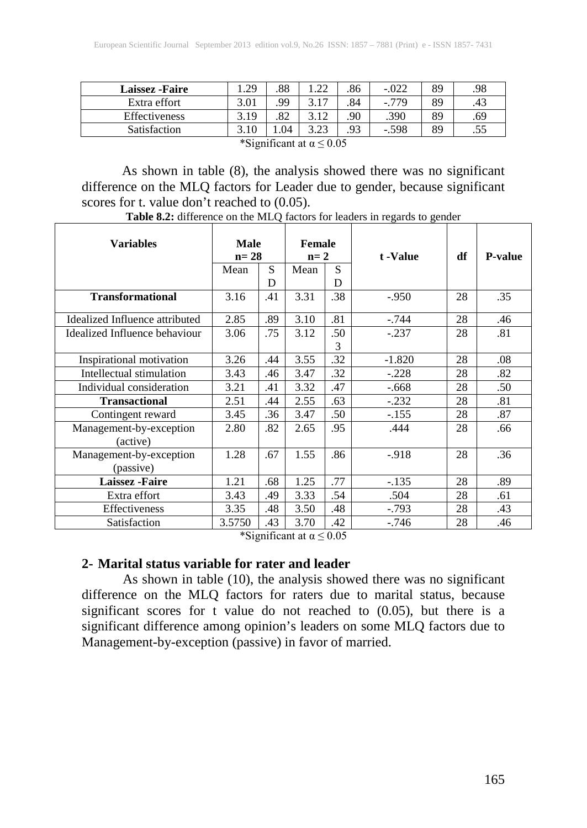| <b>Laissez</b> - Faire             | .29  | .88 | .22  | .86 | $-.022$ | 89 | .98 |  |
|------------------------------------|------|-----|------|-----|---------|----|-----|--|
| Extra effort                       | 3.01 | 99  | 3.17 | .84 | $-779$  | 89 | .43 |  |
| Effectiveness                      | 3.19 | .82 | 3.12 | 90  | .390    | 89 | .69 |  |
| <b>Satisfaction</b>                | 3.10 | .04 | 3.23 | .93 | $-.598$ | 89 | .55 |  |
| *Significant at $\alpha \leq 0.05$ |      |     |      |     |         |    |     |  |

As shown in table (8), the analysis showed there was no significant difference on the MLQ factors for Leader due to gender, because significant scores for t. value don't reached to  $(0.05)$ .

| Variables                      | <b>Male</b><br>Female<br>$n=28$<br>$n=2$ |                       |      | t -Value                           | df       | <b>P-value</b> |     |
|--------------------------------|------------------------------------------|-----------------------|------|------------------------------------|----------|----------------|-----|
|                                | Mean                                     | S                     | Mean | S                                  |          |                |     |
|                                |                                          | D                     |      | D                                  |          |                |     |
| <b>Transformational</b>        | 3.16                                     | .41                   | 3.31 | .38                                | $-950$   | 28             | .35 |
| Idealized Influence attributed | 2.85                                     | .89                   | 3.10 | .81                                | $-.744$  | 28             | .46 |
| Idealized Influence behaviour  | 3.06                                     | .75                   | 3.12 | .50                                | $-.237$  | 28             | .81 |
|                                |                                          |                       |      | 3                                  |          |                |     |
| Inspirational motivation       | 3.26                                     | .44                   | 3.55 | .32                                | $-1.820$ | 28             | .08 |
| Intellectual stimulation       | 3.43                                     | .46                   | 3.47 | .32                                | $-.228$  | 28             | .82 |
| Individual consideration       | 3.21                                     | .41                   | 3.32 | .47                                | $-.668$  | 28             | .50 |
| <b>Transactional</b>           | 2.51                                     | .44                   | 2.55 | .63                                | $-.232$  | 28             | .81 |
| Contingent reward              | 3.45                                     | .36                   | 3.47 | .50                                | $-.155$  | 28             | .87 |
| Management-by-exception        | 2.80                                     | .82                   | 2.65 | .95                                | .444     | 28             | .66 |
| (active)                       |                                          |                       |      |                                    |          |                |     |
| Management-by-exception        | 1.28                                     | .67                   | 1.55 | .86                                | $-918$   | 28             | .36 |
| (passive)                      |                                          |                       |      |                                    |          |                |     |
| <b>Laissez</b> - Faire         | 1.21                                     | .68                   | 1.25 | .77                                | $-.135$  | 28             | .89 |
| Extra effort                   | 3.43                                     | .49                   | 3.33 | .54                                | .504     | 28             | .61 |
| Effectiveness                  | 3.35                                     | .48                   | 3.50 | .48                                | $-.793$  | 28             | .43 |
| Satisfaction                   | 3.5750                                   | .43<br>$\cdot$ $\sim$ | 3.70 | .42<br>$\sim$ $\sim$ $\sim$ $\sim$ | $-.746$  | 28             | .46 |

**Table 8.2:** difference on the MLQ factors for leaders in regards to gender

\*Significant at  $\alpha \leq 0.05$ 

#### **2- Marital status variable for rater and leader**

As shown in table (10), the analysis showed there was no significant difference on the MLQ factors for raters due to marital status, because significant scores for  $\overline{t}$  value do not reached to (0.05), but there is a significant difference among opinion's leaders on some MLQ factors due to Management-by-exception (passive) in favor of married.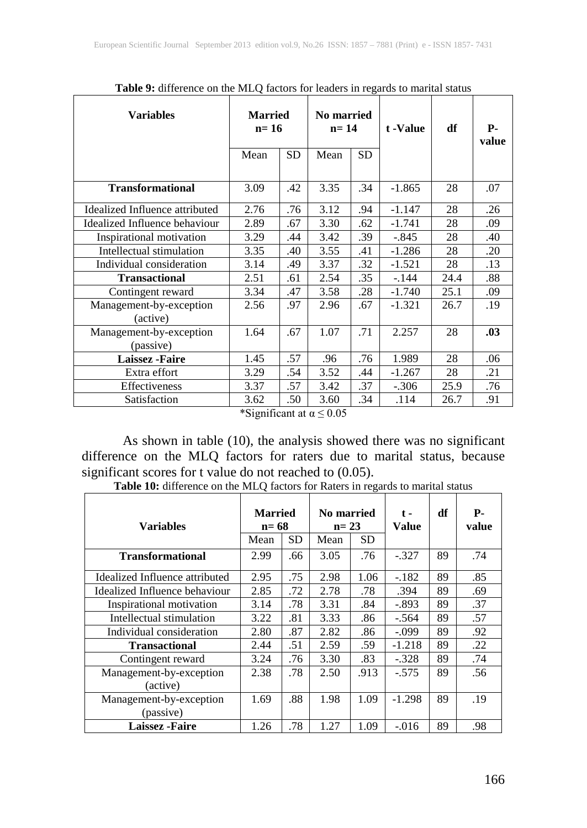| <b>Variables</b>                     | <b>Married</b><br>$n=16$<br><b>SD</b><br>Mean |     | <b>No married</b><br>$n = 14$<br><b>SD</b><br>Mean                                    |     | t -Value | df   | <b>P.</b><br>value |
|--------------------------------------|-----------------------------------------------|-----|---------------------------------------------------------------------------------------|-----|----------|------|--------------------|
| <b>Transformational</b>              | 3.09                                          | .42 | 3.35                                                                                  | .34 | $-1.865$ | 28   | .07                |
| Idealized Influence attributed       | 2.76                                          | .76 | 3.12                                                                                  | .94 | $-1.147$ | 28   | .26                |
| Idealized Influence behaviour        | 2.89                                          | .67 | 3.30                                                                                  | .62 | $-1.741$ | 28   | .09                |
| Inspirational motivation             | 3.29                                          | .44 | 3.42                                                                                  | .39 | $-.845$  | 28   | .40                |
| Intellectual stimulation             | 3.35                                          | .40 | 3.55                                                                                  | .41 | $-1.286$ | 28   | .20                |
| Individual consideration             | 3.14                                          | .49 | 3.37                                                                                  | .32 | $-1.521$ | 28   | .13                |
| <b>Transactional</b>                 | 2.51                                          | .61 | 2.54                                                                                  | .35 | $-144$   | 24.4 | .88                |
| Contingent reward                    | 3.34                                          | .47 | 3.58                                                                                  | .28 | $-1.740$ | 25.1 | .09                |
| Management-by-exception<br>(active)  | 2.56                                          | .97 | 2.96                                                                                  | .67 | $-1.321$ | 26.7 | .19                |
| Management-by-exception<br>(passive) | 1.64                                          | .67 | 1.07                                                                                  | .71 | 2.257    | 28   | .03                |
| <b>Laissez</b> - Faire               | 1.45                                          | .57 | .96                                                                                   | .76 | 1.989    | 28   | .06                |
| Extra effort                         | 3.29                                          | .54 | 3.52                                                                                  | .44 | $-1.267$ | 28   | .21                |
| Effectiveness                        | 3.37                                          | .57 | 3.42                                                                                  | .37 | $-.306$  | 25.9 | .76                |
| Satisfaction                         | 3.62                                          | .50 | 3.60<br>$*$ C $:$ $\ldots$ $*$ $\ldots$ $*$ $\ldots$ $\ldots$ $\cap$ $\cap$ $\subset$ | .34 | .114     | 26.7 | .91                |

**Table 9:** difference on the MLQ factors for leaders in regards to marital status

\*Significant at  $\alpha \leq 0.05$ 

As shown in table (10), the analysis showed there was no significant difference on the MLQ factors for raters due to marital status, because significant scores for t value do not reached to (0.05).

| <b>Variables</b>                     | <b>Married</b><br>$n=68$<br>SD<br>Mean |     | No married<br>$n = 23$<br>Mean | <b>SD</b> | $t -$<br><b>Value</b> | df | <b>P</b> -<br>value |
|--------------------------------------|----------------------------------------|-----|--------------------------------|-----------|-----------------------|----|---------------------|
| <b>Transformational</b>              | 2.99                                   | .66 | 3.05                           | .76       | $-.327$               | 89 | .74                 |
| Idealized Influence attributed       | 2.95                                   | .75 | 2.98                           | 1.06      | $-.182$               | 89 | .85                 |
| Idealized Influence behaviour        | 2.85                                   | .72 | 2.78                           | .78       | .394                  | 89 | .69                 |
| Inspirational motivation             | 3.14                                   | .78 | 3.31                           | .84       | $-.893$               | 89 | .37                 |
| Intellectual stimulation             | 3.22                                   | .81 | 3.33                           | .86       | $-.564$               | 89 | .57                 |
| Individual consideration             | 2.80                                   | .87 | 2.82                           | .86       | $-.099$               | 89 | .92                 |
| <b>Transactional</b>                 | 2.44                                   | .51 | 2.59                           | .59       | $-1.218$              | 89 | .22                 |
| Contingent reward                    | 3.24                                   | .76 | 3.30                           | .83       | $-.328$               | 89 | .74                 |
| Management-by-exception<br>(active)  | 2.38                                   | .78 | 2.50                           | .913      | $-.575$               | 89 | .56                 |
| Management-by-exception<br>(passive) | 1.69                                   | .88 | 1.98                           | 1.09      | $-1.298$              | 89 | .19                 |
| <b>Laissez</b> - Faire               | 1.26                                   | .78 | 1.27                           | 1.09      | $-.016$               | 89 | .98                 |

**Table 10:** difference on the MLQ factors for Raters in regards to marital status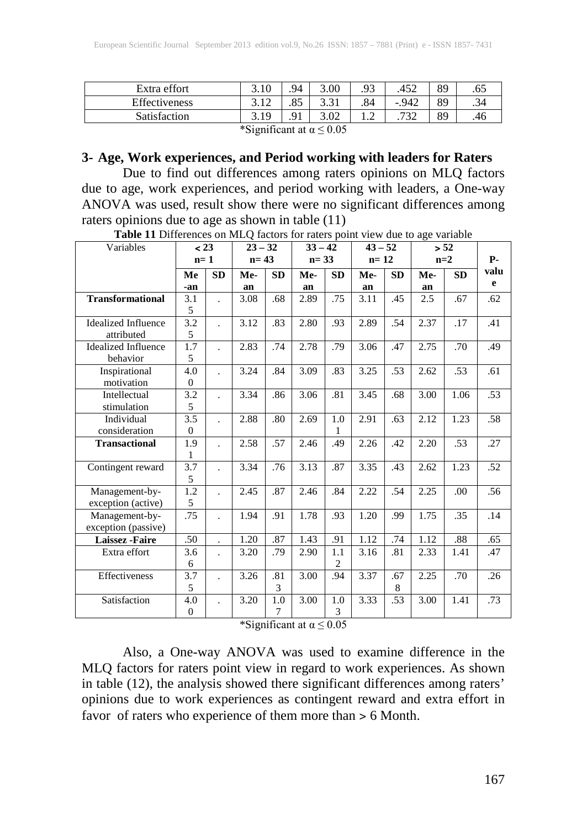| Extra effort                                                 | 3.10 | .94            | 3.00                 | ۵3<br>ر . | .452     | 89 | 05. |  |  |
|--------------------------------------------------------------|------|----------------|----------------------|-----------|----------|----|-----|--|--|
| Effectiveness                                                | J.IL | oε<br>.ره      | $\sqrt{21}$<br>1 - ب | .84       | $-0.942$ | 89 | .34 |  |  |
| Satisfaction                                                 |      | Q <sub>1</sub> | 3.02                 |           | 722      | 89 |     |  |  |
| $*$ C $:$ $\ldots$ $\mathcal{L}$ and at $\ldots$ $\neq$ 0.05 |      |                |                      |           |          |    |     |  |  |

\*Significant at  $\alpha \leq 0.05$ 

#### **3- Age, Work experiences, and Period working with leaders for Raters**

Due to find out differences among raters opinions on MLQ factors due to age, work experiences, and period working with leaders, a One-way ANOVA was used, result show there were no significant differences among raters opinions due to age as shown in table (11)

| Variables                                | < 23                         |           | $23 - 32$ |           | $33 - 42$ |                       | $43 - 52$ |           |      | > 52      |           |
|------------------------------------------|------------------------------|-----------|-----------|-----------|-----------|-----------------------|-----------|-----------|------|-----------|-----------|
|                                          | $n=1$                        |           | $n=43$    |           | $n = 33$  |                       | $n=12$    |           |      | $n=2$     | <b>P-</b> |
|                                          | Me                           | <b>SD</b> | Me-       | <b>SD</b> | Me-       | <b>SD</b>             | Me-       | <b>SD</b> | Me-  | <b>SD</b> | valu      |
|                                          | -an                          |           | an        |           | an        |                       | an        |           | an   |           | e         |
| <b>Transformational</b>                  | 3.1<br>5                     |           | 3.08      | .68       | 2.89      | .75                   | 3.11      | .45       | 2.5  | .67       | .62       |
| <b>Idealized Influence</b><br>attributed | 3.2<br>5                     |           | 3.12      | .83       | 2.80      | .93                   | 2.89      | .54       | 2.37 | .17       | .41       |
| <b>Idealized Influence</b><br>behavior   | 1.7<br>5                     |           | 2.83      | .74       | 2.78      | .79                   | 3.06      | .47       | 2.75 | .70       | .49       |
| Inspirational<br>motivation              | 4.0<br>$\Omega$              |           | 3.24      | .84       | 3.09      | .83                   | 3.25      | .53       | 2.62 | .53       | .61       |
| Intellectual<br>stimulation              | 3.2<br>5                     | ÷.        | 3.34      | .86       | 3.06      | .81                   | 3.45      | .68       | 3.00 | 1.06      | .53       |
| Individual<br>consideration              | $\overline{3.5}$<br>$\Omega$ |           | 2.88      | .80       | 2.69      | 1.0<br>1              | 2.91      | .63       | 2.12 | 1.23      | .58       |
| <b>Transactional</b>                     | 1.9<br>1                     |           | 2.58      | .57       | 2.46      | .49                   | 2.26      | .42       | 2.20 | .53       | .27       |
| Contingent reward                        | 3.7<br>5                     |           | 3.34      | .76       | 3.13      | .87                   | 3.35      | .43       | 2.62 | 1.23      | .52       |
| Management-by-<br>exception (active)     | 1.2<br>5                     |           | 2.45      | .87       | 2.46      | .84                   | 2.22      | .54       | 2.25 | .00       | .56       |
| Management-by-<br>exception (passive)    | .75                          |           | 1.94      | .91       | 1.78      | .93                   | 1.20      | .99       | 1.75 | .35       | .14       |
| Laissez - Faire                          | .50                          |           | 1.20      | .87       | 1.43      | .91                   | 1.12      | .74       | 1.12 | .88       | .65       |
| Extra effort                             | 3.6<br>6                     |           | 3.20      | .79       | 2.90      | 1.1<br>$\overline{c}$ | 3.16      | .81       | 2.33 | 1.41      | .47       |
| Effectiveness                            | 3.7<br>5                     | ÷.        | 3.26      | .81<br>3  | 3.00      | .94                   | 3.37      | .67<br>8  | 2.25 | .70       | .26       |
| Satisfaction                             | 4.0<br>$\mathbf{0}$          |           | 3.20      | 1.0<br>7  | 3.00      | 1.0<br>3              | 3.33      | .53       | 3.00 | 1.41      | .73       |

**Table 11** Differences on MLQ factors for raters point view due to age variable

\*Significant at  $\alpha \leq 0.05$ 

Also, a One-way ANOVA was used to examine difference in the MLQ factors for raters point view in regard to work experiences. As shown in table (12), the analysis showed there significant differences among raters' opinions due to work experiences as contingent reward and extra effort in favor of raters who experience of them more than > 6 Month.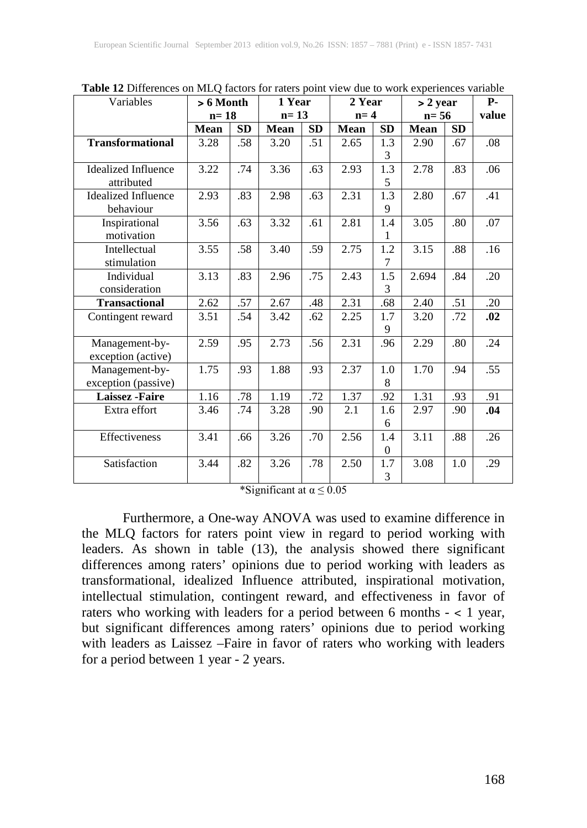| Variables                  | $> 6$ Month |           | 1 Year |     | 2 Year |                | $> 2$ year  |           | $P-$  |  |
|----------------------------|-------------|-----------|--------|-----|--------|----------------|-------------|-----------|-------|--|
|                            | $n=18$      |           | $n=13$ |     | $n=4$  |                | $n=56$      |           | value |  |
|                            | <b>Mean</b> | <b>SD</b> | Mean   | SD  | Mean   | SD             | <b>Mean</b> | <b>SD</b> |       |  |
| <b>Transformational</b>    | 3.28        | .58       | 3.20   | .51 | 2.65   | 1.3            | 2.90        | .67       | .08   |  |
|                            |             |           |        |     |        | 3              |             |           |       |  |
| <b>Idealized Influence</b> | 3.22        | .74       | 3.36   | .63 | 2.93   | 1.3            | 2.78        | .83       | .06   |  |
| attributed                 |             |           |        |     |        | 5              |             |           |       |  |
| <b>Idealized Influence</b> | 2.93        | .83       | 2.98   | .63 | 2.31   | 1.3            | 2.80        | .67       | .41   |  |
| behaviour                  |             |           |        |     |        | 9              |             |           |       |  |
| Inspirational              | 3.56        | .63       | 3.32   | .61 | 2.81   | 1.4            | 3.05        | .80       | .07   |  |
| motivation                 |             |           |        |     |        | 1              |             |           |       |  |
| Intellectual               | 3.55        | .58       | 3.40   | .59 | 2.75   | 1.2            | 3.15        | .88       | .16   |  |
| stimulation                |             |           |        |     |        | 7              |             |           |       |  |
| Individual                 | 3.13        | .83       | 2.96   | .75 | 2.43   | 1.5            | 2.694       | .84       | .20   |  |
| consideration              |             |           |        |     |        | 3              |             |           |       |  |
| <b>Transactional</b>       | 2.62        | .57       | 2.67   | .48 | 2.31   | .68            | 2.40        | .51       | .20   |  |
| Contingent reward          | 3.51        | .54       | 3.42   | .62 | 2.25   | 1.7            | 3.20        | .72       | .02   |  |
|                            |             |           |        |     |        | 9              |             |           |       |  |
| Management-by-             | 2.59        | .95       | 2.73   | .56 | 2.31   | .96            | 2.29        | .80       | .24   |  |
| exception (active)         |             |           |        |     |        |                |             |           |       |  |
| Management-by-             | 1.75        | .93       | 1.88   | .93 | 2.37   | 1.0            | 1.70        | .94       | .55   |  |
| exception (passive)        |             |           |        |     |        | 8              |             |           |       |  |
| <b>Laissez</b> - Faire     | 1.16        | .78       | 1.19   | .72 | 1.37   | .92            | 1.31        | .93       | .91   |  |
| Extra effort               | 3.46        | .74       | 3.28   | .90 | 2.1    | 1.6            | 2.97        | .90       | .04   |  |
|                            |             |           |        |     |        | 6              |             |           |       |  |
| Effectiveness              | 3.41        | .66       | 3.26   | .70 | 2.56   | 1.4            | 3.11        | .88       | .26   |  |
|                            |             |           |        |     |        | $\Omega$       |             |           |       |  |
| Satisfaction               | 3.44        | .82       | 3.26   | .78 | 2.50   | 1.7            | 3.08        | 1.0       | .29   |  |
|                            |             |           |        |     |        | $\mathfrak{Z}$ |             |           |       |  |

**Table 12** Differences on MLQ factors for raters point view due to work experiences variable

\*Significant at  $\alpha \leq 0.05$ 

Furthermore, a One-way ANOVA was used to examine difference in the MLQ factors for raters point view in regard to period working with leaders. As shown in table (13), the analysis showed there significant differences among raters' opinions due to period working with leaders as transformational, idealized Influence attributed, inspirational motivation, intellectual stimulation, contingent reward, and effectiveness in favor of raters who working with leaders for a period between 6 months - ˂ 1 year, but significant differences among raters' opinions due to period working with leaders as Laissez –Faire in favor of raters who working with leaders for a period between 1 year - 2 years.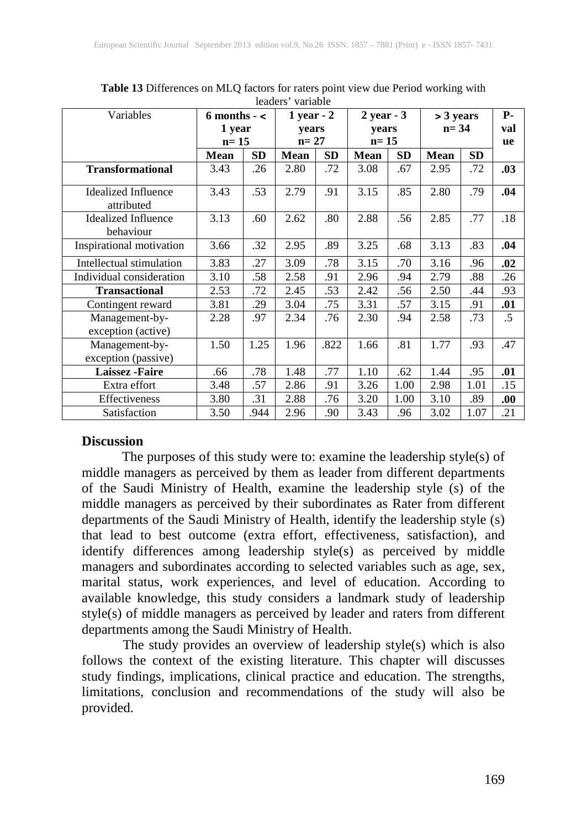| Variables                               | 6 months $-$ < |           | $1$ year - $2$ |           | $2$ year - $3$ |           | > 3 years   |           | <b>P-</b> |
|-----------------------------------------|----------------|-----------|----------------|-----------|----------------|-----------|-------------|-----------|-----------|
|                                         | 1 year         | vears     |                | vears     |                | $n = 34$  |             | val       |           |
|                                         |                | $n=15$    |                | $n = 27$  |                | $n=15$    |             |           |           |
|                                         | <b>Mean</b>    | <b>SD</b> | Mean           | <b>SD</b> | <b>Mean</b>    | <b>SD</b> | <b>Mean</b> | <b>SD</b> |           |
| <b>Transformational</b>                 | 3.43           | .26       | 2.80           | .72       | 3.08           | .67       | 2.95        | .72       | .03       |
| Idealized Influence<br>attributed       | 3.43           | .53       | 2.79           | .91       | 3.15           | .85       | 2.80        | .79       | .04       |
| <b>Idealized Influence</b><br>behaviour | 3.13           | .60       | 2.62           | .80       | 2.88           | .56       | 2.85        | .77       | .18       |
| Inspirational motivation                | 3.66           | .32       | 2.95           | .89       | 3.25           | .68       | 3.13        | .83       | .04       |
| Intellectual stimulation                | 3.83           | .27       | 3.09           | .78       | 3.15           | .70       | 3.16        | .96       | .02       |
| Individual consideration                | 3.10           | .58       | 2.58           | .91       | 2.96           | .94       | 2.79        | .88       | .26       |
| <b>Transactional</b>                    | 2.53           | .72       | 2.45           | .53       | 2.42           | .56       | 2.50        | .44       | .93       |
| Contingent reward                       | 3.81           | .29       | 3.04           | .75       | 3.31           | .57       | 3.15        | .91       | .01       |
| Management-by-<br>exception (active)    | 2.28           | .97       | 2.34           | .76       | 2.30           | .94       | 2.58        | .73       | .5        |
| Management-by-<br>exception (passive)   | 1.50           | 1.25      | 1.96           | .822      | 1.66           | .81       | 1.77        | .93       | .47       |
| <b>Laissez</b> - Faire                  | .66            | .78       | 1.48           | .77       | 1.10           | .62       | 1.44        | .95       | .01       |
| Extra effort                            | 3.48           | .57       | 2.86           | .91       | 3.26           | 1.00      | 2.98        | 1.01      | .15       |
| Effectiveness                           | 3.80           | .31       | 2.88           | .76       | 3.20           | 1.00      | 3.10        | .89       | .00.      |
| Satisfaction                            | 3.50           | .944      | 2.96           | .90       | 3.43           | .96       | 3.02        | 1.07      | .21       |

**Table 13** Differences on MLQ factors for raters point view due Period working with leaders' variable

#### **Discussion**

The purposes of this study were to: examine the leadership style(s) of middle managers as perceived by them as leader from different departments of the Saudi Ministry of Health, examine the leadership style (s) of the middle managers as perceived by their subordinates as Rater from different departments of the Saudi Ministry of Health, identify the leadership style (s) that lead to best outcome (extra effort, effectiveness, satisfaction), and identify differences among leadership style(s) as perceived by middle managers and subordinates according to selected variables such as age, sex, marital status, work experiences, and level of education. According to available knowledge, this study considers a landmark study of leadership style(s) of middle managers as perceived by leader and raters from different departments among the Saudi Ministry of Health.

 The study provides an overview of leadership style(s) which is also follows the context of the existing literature. This chapter will discusses study findings, implications, clinical practice and education. The strengths, limitations, conclusion and recommendations of the study will also be provided.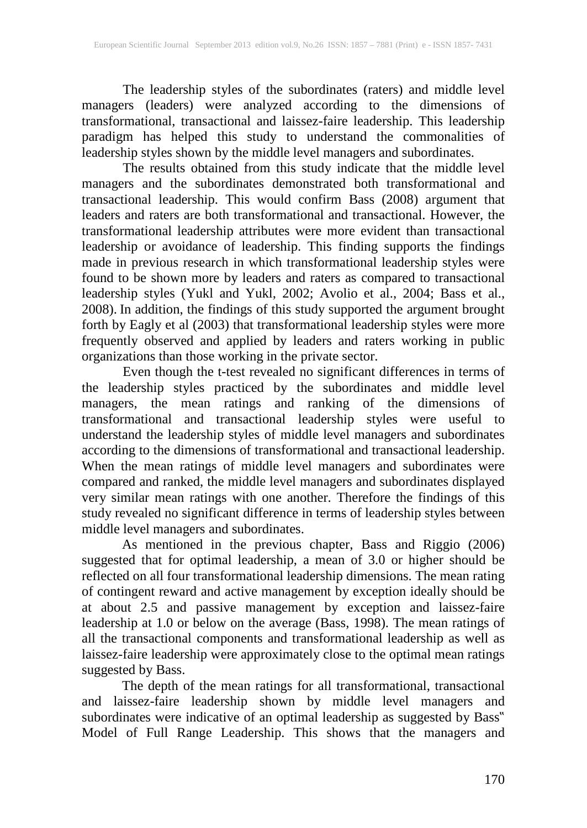The leadership styles of the subordinates (raters) and middle level managers (leaders) were analyzed according to the dimensions of transformational, transactional and laissez-faire leadership. This leadership paradigm has helped this study to understand the commonalities of leadership styles shown by the middle level managers and subordinates.

The results obtained from this study indicate that the middle level managers and the subordinates demonstrated both transformational and transactional leadership. This would confirm Bass (2008) argument that leaders and raters are both transformational and transactional. However, the transformational leadership attributes were more evident than transactional leadership or avoidance of leadership. This finding supports the findings made in previous research in which transformational leadership styles were found to be shown more by leaders and raters as compared to transactional leadership styles (Yukl and Yukl, 2002; Avolio et al., 2004; Bass et al., 2008). In addition, the findings of this study supported the argument brought forth by Eagly et al (2003) that transformational leadership styles were more frequently observed and applied by leaders and raters working in public organizations than those working in the private sector.

 Even though the t-test revealed no significant differences in terms of the leadership styles practiced by the subordinates and middle level managers, the mean ratings and ranking of the dimensions of transformational and transactional leadership styles were useful to understand the leadership styles of middle level managers and subordinates according to the dimensions of transformational and transactional leadership. When the mean ratings of middle level managers and subordinates were compared and ranked, the middle level managers and subordinates displayed very similar mean ratings with one another. Therefore the findings of this study revealed no significant difference in terms of leadership styles between middle level managers and subordinates.

As mentioned in the previous chapter, Bass and Riggio (2006) suggested that for optimal leadership, a mean of 3.0 or higher should be reflected on all four transformational leadership dimensions. The mean rating of contingent reward and active management by exception ideally should be at about 2.5 and passive management by exception and laissez-faire leadership at 1.0 or below on the average (Bass, 1998). The mean ratings of all the transactional components and transformational leadership as well as laissez-faire leadership were approximately close to the optimal mean ratings suggested by Bass.

The depth of the mean ratings for all transformational, transactional and laissez-faire leadership shown by middle level managers and subordinates were indicative of an optimal leadership as suggested by Bass" Model of Full Range Leadership. This shows that the managers and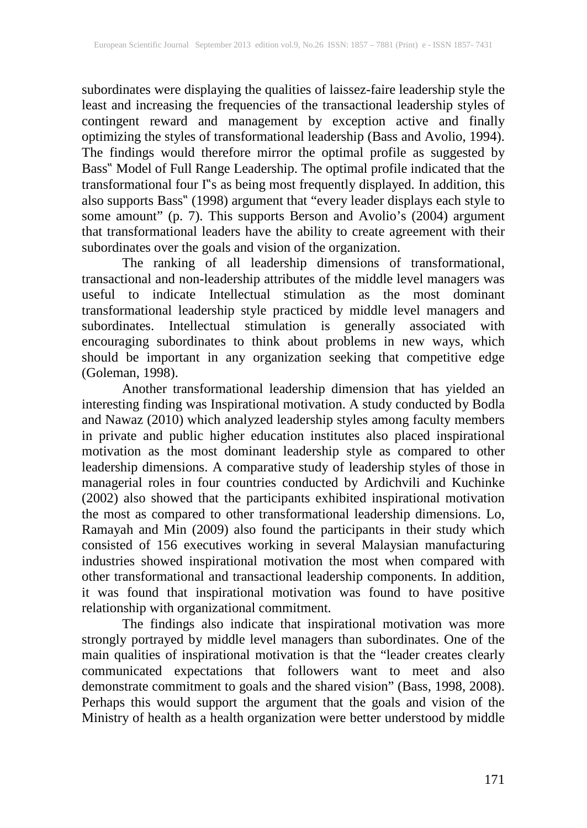subordinates were displaying the qualities of laissez-faire leadership style the least and increasing the frequencies of the transactional leadership styles of contingent reward and management by exception active and finally optimizing the styles of transformational leadership (Bass and Avolio, 1994). The findings would therefore mirror the optimal profile as suggested by Bass" Model of Full Range Leadership. The optimal profile indicated that the transformational four I"s as being most frequently displayed. In addition, this also supports Bass" (1998) argument that "every leader displays each style to some amount" (p. 7). This supports Berson and Avolio's (2004) argument that transformational leaders have the ability to create agreement with their subordinates over the goals and vision of the organization.

The ranking of all leadership dimensions of transformational, transactional and non-leadership attributes of the middle level managers was useful to indicate Intellectual stimulation as the most dominant transformational leadership style practiced by middle level managers and subordinates. Intellectual stimulation is generally associated with encouraging subordinates to think about problems in new ways, which should be important in any organization seeking that competitive edge (Goleman, 1998).

Another transformational leadership dimension that has yielded an interesting finding was Inspirational motivation. A study conducted by Bodla and Nawaz (2010) which analyzed leadership styles among faculty members in private and public higher education institutes also placed inspirational motivation as the most dominant leadership style as compared to other leadership dimensions. A comparative study of leadership styles of those in managerial roles in four countries conducted by Ardichvili and Kuchinke (2002) also showed that the participants exhibited inspirational motivation the most as compared to other transformational leadership dimensions. Lo, Ramayah and Min (2009) also found the participants in their study which consisted of 156 executives working in several Malaysian manufacturing industries showed inspirational motivation the most when compared with other transformational and transactional leadership components. In addition, it was found that inspirational motivation was found to have positive relationship with organizational commitment.

The findings also indicate that inspirational motivation was more strongly portrayed by middle level managers than subordinates. One of the main qualities of inspirational motivation is that the "leader creates clearly communicated expectations that followers want to meet and also demonstrate commitment to goals and the shared vision" (Bass, 1998, 2008). Perhaps this would support the argument that the goals and vision of the Ministry of health as a health organization were better understood by middle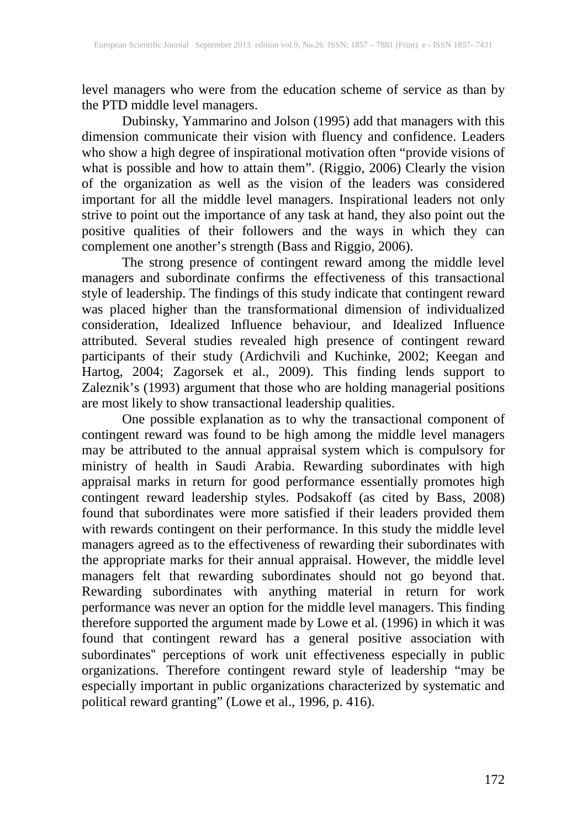level managers who were from the education scheme of service as than by the PTD middle level managers.

Dubinsky, Yammarino and Jolson (1995) add that managers with this dimension communicate their vision with fluency and confidence. Leaders who show a high degree of inspirational motivation often "provide visions of what is possible and how to attain them". (Riggio, 2006) Clearly the vision of the organization as well as the vision of the leaders was considered important for all the middle level managers. Inspirational leaders not only strive to point out the importance of any task at hand, they also point out the positive qualities of their followers and the ways in which they can complement one another's strength (Bass and Riggio, 2006).

The strong presence of contingent reward among the middle level managers and subordinate confirms the effectiveness of this transactional style of leadership. The findings of this study indicate that contingent reward was placed higher than the transformational dimension of individualized consideration, Idealized Influence behaviour, and Idealized Influence attributed. Several studies revealed high presence of contingent reward participants of their study (Ardichvili and Kuchinke, 2002; Keegan and Hartog, 2004; Zagorsek et al., 2009). This finding lends support to Zaleznik's (1993) argument that those who are holding managerial positions are most likely to show transactional leadership qualities.

One possible explanation as to why the transactional component of contingent reward was found to be high among the middle level managers may be attributed to the annual appraisal system which is compulsory for ministry of health in Saudi Arabia. Rewarding subordinates with high appraisal marks in return for good performance essentially promotes high contingent reward leadership styles. Podsakoff (as cited by Bass, 2008) found that subordinates were more satisfied if their leaders provided them with rewards contingent on their performance. In this study the middle level managers agreed as to the effectiveness of rewarding their subordinates with the appropriate marks for their annual appraisal. However, the middle level managers felt that rewarding subordinates should not go beyond that. Rewarding subordinates with anything material in return for work performance was never an option for the middle level managers. This finding therefore supported the argument made by Lowe et al. (1996) in which it was found that contingent reward has a general positive association with subordinates" perceptions of work unit effectiveness especially in public organizations. Therefore contingent reward style of leadership "may be especially important in public organizations characterized by systematic and political reward granting" (Lowe et al., 1996, p. 416).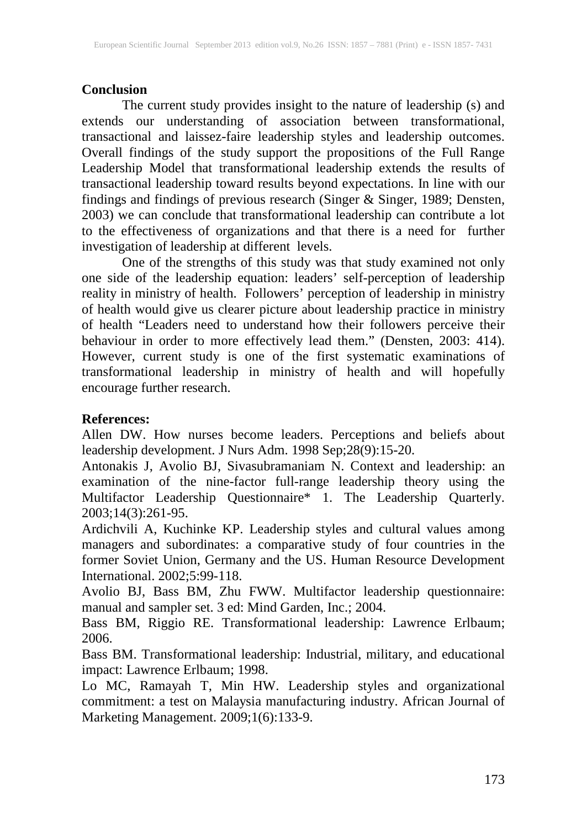## **Conclusion**

The current study provides insight to the nature of leadership (s) and extends our understanding of association between transformational, transactional and laissez-faire leadership styles and leadership outcomes. Overall findings of the study support the propositions of the Full Range Leadership Model that transformational leadership extends the results of transactional leadership toward results beyond expectations. In line with our findings and findings of previous research (Singer & Singer, 1989; Densten, 2003) we can conclude that transformational leadership can contribute a lot to the effectiveness of organizations and that there is a need for further investigation of leadership at different levels.

One of the strengths of this study was that study examined not only one side of the leadership equation: leaders' self-perception of leadership reality in ministry of health. Followers' perception of leadership in ministry of health would give us clearer picture about leadership practice in ministry of health "Leaders need to understand how their followers perceive their behaviour in order to more effectively lead them." (Densten, 2003: 414). However, current study is one of the first systematic examinations of transformational leadership in ministry of health and will hopefully encourage further research.

## **References:**

Allen DW. How nurses become leaders. Perceptions and beliefs about leadership development. J Nurs Adm. 1998 Sep;28(9):15-20.

Antonakis J, Avolio BJ, Sivasubramaniam N. Context and leadership: an examination of the nine-factor full-range leadership theory using the Multifactor Leadership Questionnaire\* 1. The Leadership Quarterly. 2003;14(3):261-95.

Ardichvili A, Kuchinke KP. Leadership styles and cultural values among managers and subordinates: a comparative study of four countries in the former Soviet Union, Germany and the US. Human Resource Development International. 2002;5:99-118.

Avolio BJ, Bass BM, Zhu FWW. Multifactor leadership questionnaire: manual and sampler set. 3 ed: Mind Garden, Inc.; 2004.

Bass BM, Riggio RE. Transformational leadership: Lawrence Erlbaum; 2006.

Bass BM. Transformational leadership: Industrial, military, and educational impact: Lawrence Erlbaum; 1998.

Lo MC, Ramayah T, Min HW. Leadership styles and organizational commitment: a test on Malaysia manufacturing industry. African Journal of Marketing Management. 2009;1(6):133-9.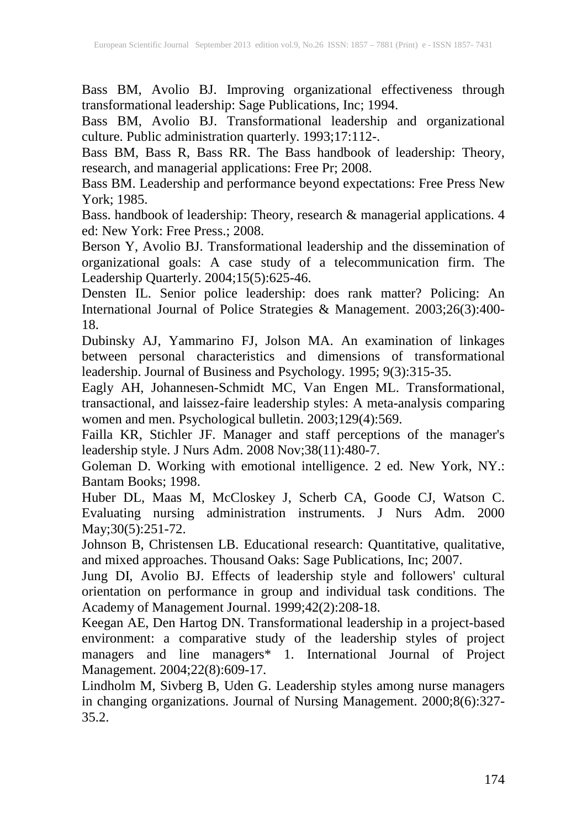Bass BM, Avolio BJ. Improving organizational effectiveness through transformational leadership: Sage Publications, Inc; 1994.

Bass BM, Avolio BJ. Transformational leadership and organizational culture. Public administration quarterly. 1993;17:112-.

Bass BM, Bass R, Bass RR. The Bass handbook of leadership: Theory, research, and managerial applications: Free Pr; 2008.

Bass BM. Leadership and performance beyond expectations: Free Press New York; 1985.

Bass. handbook of leadership: Theory, research & managerial applications. 4 ed: New York: Free Press.; 2008.

Berson Y, Avolio BJ. Transformational leadership and the dissemination of organizational goals: A case study of a telecommunication firm. The Leadership Quarterly. 2004;15(5):625-46.

Densten IL. Senior police leadership: does rank matter? Policing: An International Journal of Police Strategies & Management. 2003;26(3):400- 18.

Dubinsky AJ, Yammarino FJ, Jolson MA. An examination of linkages between personal characteristics and dimensions of transformational leadership. Journal of Business and Psychology. 1995; 9(3):315-35.

Eagly AH, Johannesen-Schmidt MC, Van Engen ML. Transformational, transactional, and laissez-faire leadership styles: A meta-analysis comparing women and men. Psychological bulletin. 2003;129(4):569.

Failla KR, Stichler JF. Manager and staff perceptions of the manager's leadership style. J Nurs Adm. 2008 Nov;38(11):480-7.

Goleman D. Working with emotional intelligence. 2 ed. New York, NY.: Bantam Books; 1998.

Huber DL, Maas M, McCloskey J, Scherb CA, Goode CJ, Watson C. Evaluating nursing administration instruments. J Nurs Adm. 2000 May; 30(5): 251-72.

Johnson B, Christensen LB. Educational research: Quantitative, qualitative, and mixed approaches. Thousand Oaks: Sage Publications, Inc; 2007.

Jung DI, Avolio BJ. Effects of leadership style and followers' cultural orientation on performance in group and individual task conditions. The Academy of Management Journal. 1999;42(2):208-18.

Keegan AE, Den Hartog DN. Transformational leadership in a project-based environment: a comparative study of the leadership styles of project managers and line managers\* 1. International Journal of Project Management. 2004;22(8):609-17.

Lindholm M, Sivberg B, Uden G. Leadership styles among nurse managers in changing organizations. Journal of Nursing Management. 2000;8(6):327- 35.2.